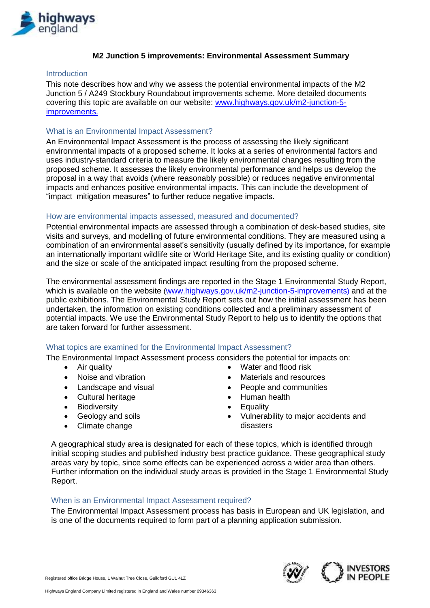

## **M2 Junction 5 improvements: Environmental Assessment Summary**

### Introduction

This note describes how and why we assess the potential environmental impacts of the M2 Junction 5 / A249 Stockbury Roundabout improvements scheme. More detailed documents covering this topic are available on our website: [www.highways.gov.uk/m2-junction-5](http://www.highways.gov.uk/m2-junction-5-improvements) [improvements.](http://www.highways.gov.uk/m2-junction-5-improvements)

### What is an Environmental Impact Assessment?

An Environmental Impact Assessment is the process of assessing the likely significant environmental impacts of a proposed scheme. It looks at a series of environmental factors and uses industry-standard criteria to measure the likely environmental changes resulting from the proposed scheme. It assesses the likely environmental performance and helps us develop the proposal in a way that avoids (where reasonably possible) or reduces negative environmental impacts and enhances positive environmental impacts. This can include the development of "impact mitigation measures" to further reduce negative impacts.

### How are environmental impacts assessed, measured and documented?

Potential environmental impacts are assessed through a combination of desk-based studies, site visits and surveys, and modelling of future environmental conditions. They are measured using a combination of an environmental asset's sensitivity (usually defined by its importance, for example an internationally important wildlife site or World Heritage Site, and its existing quality or condition) and the size or scale of the anticipated impact resulting from the proposed scheme.

The environmental assessment findings are reported in the Stage 1 Environmental Study Report, which is available on the website ([www.highways.gov.uk/m2-junction-5-improvements](http://www.highways.gov.uk/m2-junction-5-improvements)) and at the public exhibitions. The Environmental Study Report sets out how the initial assessment has been undertaken, the information on existing conditions collected and a preliminary assessment of potential impacts. We use the Environmental Study Report to help us to identify the options that are taken forward for further assessment.

### What topics are examined for the Environmental Impact Assessment?

The Environmental Impact Assessment process considers the potential for impacts on:

- 
- 
- Landscape and visual **Communities People and communities**
- Cultural heritage **EXECUS CULTA Human health**
- Biodiversity **Contract Contract Contract Contract Contract Contract Contract Contract Contract Contract Contract Contract Contract Contract Contract Contract Contract Contract Contract Contract Contract Contract Contract**
- Geology and soils
- Climate change
- Air quality **Water and flood risk**
- Noise and vibration **Materials** and resources
	-
	-
	-
	- Vulnerability to major accidents and disasters

A geographical study area is designated for each of these topics, which is identified through initial scoping studies and published industry best practice guidance. These geographical study areas vary by topic, since some effects can be experienced across a wider area than others. Further information on the individual study areas is provided in the Stage 1 Environmental Study Report.

### When is an Environmental Impact Assessment required?

The Environmental Impact Assessment process has basis in European and UK legislation, and is one of the documents required to form part of a planning application submission.